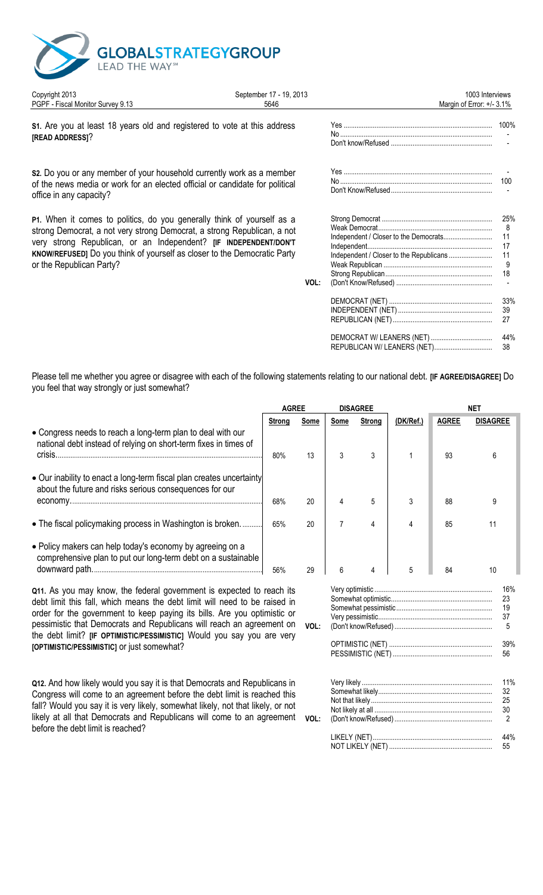

| Copyright 2013                                                                                                                                                                                                                                                                                                                       | September 17 - 19, 2013 | 1003 Interviews                                                                                                                          |                                  |
|--------------------------------------------------------------------------------------------------------------------------------------------------------------------------------------------------------------------------------------------------------------------------------------------------------------------------------------|-------------------------|------------------------------------------------------------------------------------------------------------------------------------------|----------------------------------|
| PGPF - Fiscal Monitor Survey 9.13                                                                                                                                                                                                                                                                                                    | 5646                    | Margin of Error: +/- 3.1%                                                                                                                |                                  |
| S1. Are you at least 18 years old and registered to vote at this address<br>[READ ADDRESS]?                                                                                                                                                                                                                                          |                         |                                                                                                                                          | 100%                             |
| s2. Do you or any member of your household currently work as a member<br>of the news media or work for an elected official or candidate for political<br>office in any capacity?                                                                                                                                                     |                         |                                                                                                                                          | 100                              |
| P1. When it comes to politics, do you generally think of yourself as a<br>strong Democrat, a not very strong Democrat, a strong Republican, a not<br>very strong Republican, or an Independent? [IF INDEPENDENT/DON'T<br><b>KNOW/REFUSED]</b> Do you think of yourself as closer to the Democratic Party<br>or the Republican Party? | VOL:                    | Independent / Closer to the Democrats<br>Independent / Closer to the Republicans                                                         | 25%<br>8<br>11<br>17<br>11<br>18 |
|                                                                                                                                                                                                                                                                                                                                      |                         |                                                                                                                                          | 33%<br>39<br>27                  |
|                                                                                                                                                                                                                                                                                                                                      |                         | REPUBLICAN W/ LEANERS (NET)                                                                                                              | 44%<br>38                        |
| you feel that way strongly or just somewhat?                                                                                                                                                                                                                                                                                         |                         | Please tell me whether you agree or disagree with each of the following statements relating to our national debt. [IF AGREE/DISAGREE] Do |                                  |

|                                                                                                                                                                                                                                                                                                                                                                                    | <b>AGREE</b> |      |      | <b>DISAGREE</b>    |           | <b>NET</b>   |                            |  |
|------------------------------------------------------------------------------------------------------------------------------------------------------------------------------------------------------------------------------------------------------------------------------------------------------------------------------------------------------------------------------------|--------------|------|------|--------------------|-----------|--------------|----------------------------|--|
|                                                                                                                                                                                                                                                                                                                                                                                    | Strong       | Some | Some | <b>Strong</b>      | (DK/Ref.) | <b>AGREE</b> | <b>DISAGREE</b>            |  |
| • Congress needs to reach a long-term plan to deal with our<br>national debt instead of relying on short-term fixes in times of                                                                                                                                                                                                                                                    | 80%          | 13   | 3    | 3                  |           | 93           | 6                          |  |
| • Our inability to enact a long-term fiscal plan creates uncertainty<br>about the future and risks serious consequences for our                                                                                                                                                                                                                                                    |              |      |      |                    |           |              |                            |  |
|                                                                                                                                                                                                                                                                                                                                                                                    | 68%          | 20   |      | 5                  | 3         | 88           | 9                          |  |
| • The fiscal policymaking process in Washington is broken                                                                                                                                                                                                                                                                                                                          | 65%          | 20   |      | 4                  | 4         | 85           |                            |  |
| • Policy makers can help today's economy by agreeing on a<br>comprehensive plan to put our long-term debt on a sustainable                                                                                                                                                                                                                                                         | 56%          | 29   | 6    | 4                  | 5         | 84           | 10                         |  |
| Q11. As you may know, the federal government is expected to reach its<br>debt limit this fall, which means the debt limit will need to be raised in<br>order for the government to keep paying its bills. Are you optimistic or<br>pessimistic that Democrats and Republicans will reach an agreement on<br>the debt limit? [IF OPTIMISTIC/PESSIMISTIC] Would you say you are very |              | VOL: |      |                    |           |              | 16%<br>23<br>19<br>37<br>5 |  |
| [OPTIMISTIC/PESSIMISTIC] or just somewhat?                                                                                                                                                                                                                                                                                                                                         |              |      |      | DECCIMICTIC (NIET) |           |              | 39%<br>EG.                 |  |

Q12. And how likely would you say it is that Democrats and Republicans in Congress will come to an agreement before the debt limit is reached this fall? Would you say it is very likely, somewhat likely, not that likely, or not likely at all that Democrats and Republicans will come to an agreement vol: before the debt limit is reached?

| 6 | 4 | 5 | 84 | 10 |                            |  |  |
|---|---|---|----|----|----------------------------|--|--|
|   |   |   |    |    | 16%<br>23<br>19<br>37<br>5 |  |  |
|   |   |   |    |    |                            |  |  |
|   |   |   |    |    | 11%<br>32<br>25<br>30<br>2 |  |  |
|   |   |   |    |    | 44%<br>55                  |  |  |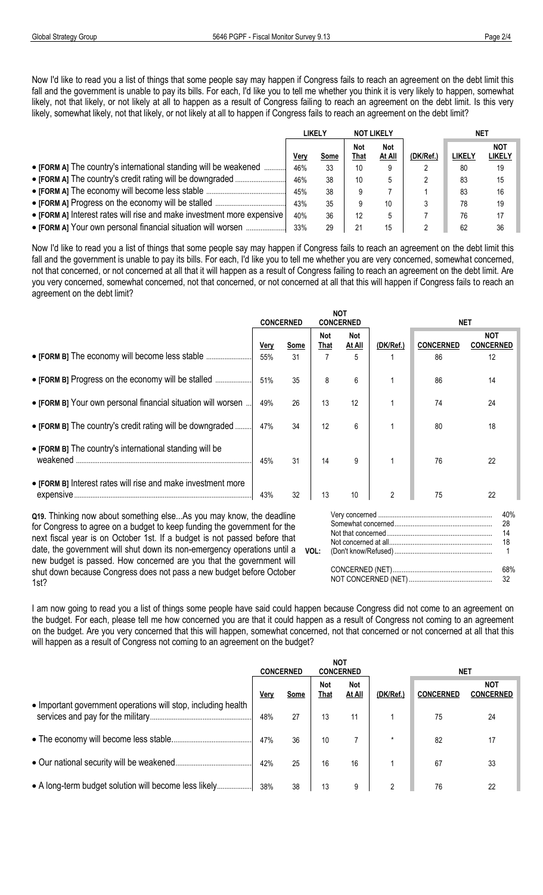Now I'd like to read you a list of things that some people say may happen if Congress fails to reach an agreement on the debt limit this fall and the government is unable to pay its bills. For each, I'd like you to tell me whether you think it is very likely to happen, somewhat likely, not that likely, or not likely at all to happen as a result of Congress failing to reach an agreement on the debt limit. Is this very likely, somewhat likely, not that likely, or not likely at all to happen if Congress fails to reach an agreement on the debt limit?

|                                                                        | <b>LIKELY</b> |      |             | <b>NOT LIKELY</b>    |           | NET           |                      |  |
|------------------------------------------------------------------------|---------------|------|-------------|----------------------|-----------|---------------|----------------------|--|
|                                                                        | ۷er\          | Some | Not<br>That | <b>Not</b><br>At All | (DK/Ref.) | <b>LIKELY</b> | <b>NOT</b><br>LIKELY |  |
| • [FORM A] The country's international standing will be weakened       | 46%           | 33   | 10          | 9                    |           | 80            | 19                   |  |
|                                                                        | 46%           | 38   | 10          | $\mathbf b$          |           | 83            | 15                   |  |
|                                                                        | 45%           | 38   |             |                      |           | 83            | 16                   |  |
|                                                                        | 43%           | 35   |             | 10                   |           | 78            | 19                   |  |
| • [FORM A] Interest rates will rise and make investment more expensive | 40%           | 36   | 12          | 5                    |           | 76            | 17                   |  |
| • [FORM A] Your own personal financial situation will worsen           | 33%           | 29   | 21          | 15                   |           | 62            | 36                   |  |

Now I'd like to read you a list of things that some people say may happen if Congress fails to reach an agreement on the debt limit this fall and the government is unable to pay its bills. For each, I'd like you to tell me whether you are very concerned, somewhat concerned, not that concerned, or not concerned at all that it will happen as a result of Congress failing to reach an agreement on the debt limit. Are you very concerned, somewhat concerned, not that concerned, or not concerned at all that this will happen if Congress fails to reach an agreement on the debt limit?

|                                                                           |      | <b>CONCERNED</b> |                    | <b>NOT</b><br><b>CONCERNED</b> |                | <b>NET</b>       |                                |  |  |  |
|---------------------------------------------------------------------------|------|------------------|--------------------|--------------------------------|----------------|------------------|--------------------------------|--|--|--|
|                                                                           | Very | Some             | Not<br><b>That</b> | <b>Not</b><br>At All           | (DK/Ref.)      | <b>CONCERNED</b> | <b>NOT</b><br><b>CONCERNED</b> |  |  |  |
|                                                                           | 55%  | 31               | 7                  |                                |                | 86               | 12                             |  |  |  |
| • [FORM B] Progress on the economy will be stalled                        | 51%  | 35               | 8                  | 6                              |                | 86               | 14                             |  |  |  |
| • [FORM B] Your own personal financial situation will worsen.             | 49%  | 26               | 13                 | 12                             |                | 74               | 24                             |  |  |  |
| • [FORM B] The country's credit rating will be downgraded                 | 47%  | 34               | 12                 | 6                              |                | 80               | 18                             |  |  |  |
| • [FORM B] The country's international standing will be<br>weakened       | 45%  | 31               | 14                 | 9                              |                | 76               | 22                             |  |  |  |
| • [FORM B] Interest rates will rise and make investment more<br>expensive | 43%  | 32               | 13                 | 10                             | $\overline{2}$ | 75               | 22                             |  |  |  |
| Q19. Thinking now about something elseAs you may know, the deadline       |      |                  |                    |                                |                |                  | 40%                            |  |  |  |

for Congress to agree on a budget to keep funding the government for the next fiscal year is on October 1st. If a budget is not passed before that date, the government will shut down its non-emergency operations until a new budget is passed. How concerned are you that the government will shut down because Congress does not pass a new budget before October 1st?

Somewhat concerned................................................................ 28 ................................................................................................................ Not that concerned ................................................................14 .................................................................................................................... Not concerned at all................................................................18 ................................................................................................................... **VOL:** (Don't know/Refused)................................................................ 1 ................................................................................................................ CONCERNED (NET)................................................................ 68%................................................................................................................. NOT CONCERNED (NET) ................................................................ 32 ........................................................................................................

I am now going to read you a list of things some people have said could happen because Congress did not come to an agreement on the budget. For each, please tell me how concerned you are that it could happen as a result of Congress not coming to an agreement on the budget. Are you very concerned that this will happen, somewhat concerned, not that concerned or not concerned at all that this will happen as a result of Congress not coming to an agreement on the budget?

|                                                               |             | <b>CONCERNED</b> | NOT                | <b>CONCERNED</b>     |           | <b>NET</b>       |                                |
|---------------------------------------------------------------|-------------|------------------|--------------------|----------------------|-----------|------------------|--------------------------------|
| • Important government operations will stop, including health | <u>Very</u> | Some             | Not<br><u>That</u> | <b>Not</b><br>At All | (DK/Ref.) | <b>CONCERNED</b> | <b>NOT</b><br><b>CONCERNED</b> |
|                                                               | 48%         | 27               | 13                 | 11                   |           | 75               | 24                             |
|                                                               | 47%         | 36               | 10                 |                      | $\star$   | 82               | 17                             |
|                                                               | 42%         | 25               | 16                 | 16                   |           | 67               | 33                             |
| • A long-term budget solution will become less likely         | 38%         | 38               | 13                 | 9                    | C         | 76               | 22                             |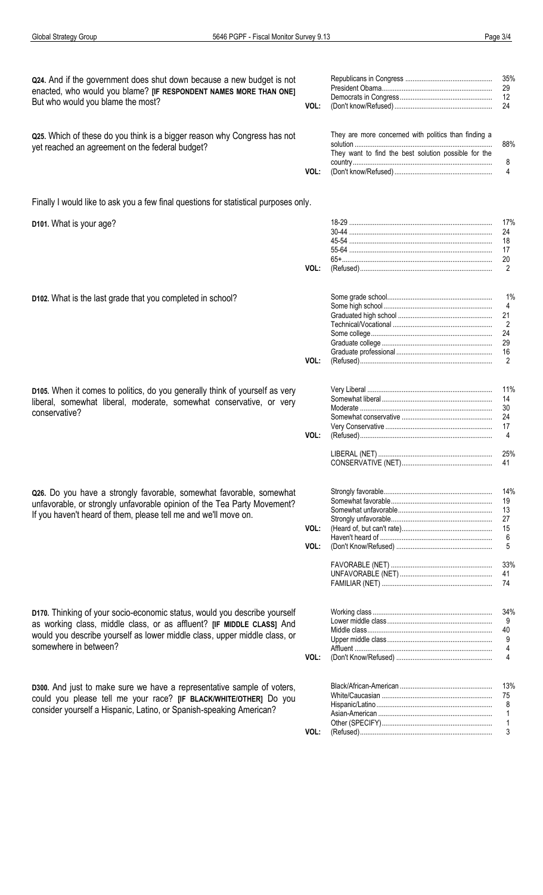**Global Strategy Group** 

| Q24. And if the government does shut down because a new budget is not<br>enacted, who would you blame? [IF RESPONDENT NAMES MORE THAN ONE]<br>But who would you blame the most?<br>Q25. Which of these do you think is a bigger reason why Congress has not<br>yet reached an agreement on the federal budget? | VOL: | They are more concerned with politics than finding a | 35%<br>29<br>12<br>24<br>88%                                        |
|----------------------------------------------------------------------------------------------------------------------------------------------------------------------------------------------------------------------------------------------------------------------------------------------------------------|------|------------------------------------------------------|---------------------------------------------------------------------|
|                                                                                                                                                                                                                                                                                                                | VOL: | They want to find the best solution possible for the | 8<br>4                                                              |
| Finally I would like to ask you a few final questions for statistical purposes only.                                                                                                                                                                                                                           |      |                                                      |                                                                     |
| D101. What is your age?                                                                                                                                                                                                                                                                                        |      |                                                      | 17%<br>24<br>18<br>17<br>20                                         |
|                                                                                                                                                                                                                                                                                                                | VOL: |                                                      | 2                                                                   |
| D102. What is the last grade that you completed in school?                                                                                                                                                                                                                                                     | VOL: |                                                      | 1%<br>$\overline{4}$<br>21<br>$\overline{2}$<br>24<br>29<br>16<br>2 |
|                                                                                                                                                                                                                                                                                                                |      |                                                      |                                                                     |
| D105. When it comes to politics, do you generally think of yourself as very<br>liberal, somewhat liberal, moderate, somewhat conservative, or very<br>conservative?                                                                                                                                            | VOL: |                                                      | 11%<br>14<br>30<br>24<br>17<br>4                                    |
|                                                                                                                                                                                                                                                                                                                |      |                                                      | 25%<br>41                                                           |
| Q26. Do you have a strongly favorable, somewhat favorable, somewhat<br>unfavorable, or strongly unfavorable opinion of the Tea Party Movement?<br>If you haven't heard of them, please tell me and we'll move on.                                                                                              | VOL: |                                                      | 14%<br>19<br>13<br>27<br>15                                         |
|                                                                                                                                                                                                                                                                                                                | VOL: |                                                      | 6<br>5                                                              |
|                                                                                                                                                                                                                                                                                                                |      |                                                      | 33%<br>41<br>74                                                     |
| D170. Thinking of your socio-economic status, would you describe yourself<br>as working class, middle class, or as affluent? [IF MIDDLE CLASS] And<br>would you describe yourself as lower middle class, upper middle class, or<br>somewhere in between?                                                       | VOL: |                                                      | 34%<br>9<br>40<br>9<br>4<br>4                                       |
| D300. And just to make sure we have a representative sample of voters,<br>could you please tell me your race? [IF BLACK/WHITE/OTHER] Do you<br>consider yourself a Hispanic, Latino, or Spanish-speaking American?                                                                                             |      |                                                      | 13%<br>75<br>8                                                      |
|                                                                                                                                                                                                                                                                                                                | VOL: |                                                      | 3                                                                   |